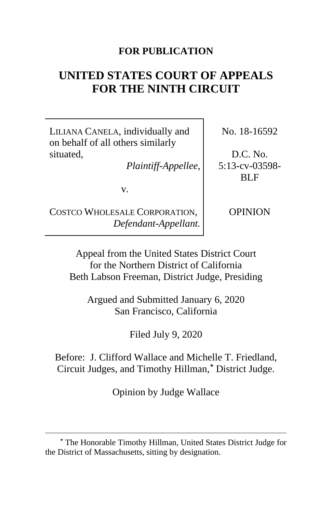# **FOR PUBLICATION**

# **UNITED STATES COURT OF APPEALS FOR THE NINTH CIRCUIT**

LILIANA CANELA, individually and on behalf of all others similarly situated,

*Plaintiff-Appellee*,

v.

COSTCO WHOLESALE CORPORATION, *Defendant-Appellant.* No. 18-16592

D.C. No. 5:13-cv-03598- BLF

OPINION

Appeal from the United States District Court for the Northern District of California Beth Labson Freeman, District Judge, Presiding

Argued and Submitted January 6, 2020 San Francisco, California

Filed July 9, 2020

Before: J. Clifford Wallace and Michelle T. Friedland, Circuit Judges, and Timothy Hillman,**[\\*](#page-0-0)** District Judge.

Opinion by Judge Wallace

<span id="page-0-0"></span>**<sup>\*</sup>** The Honorable Timothy Hillman, United States District Judge for the District of Massachusetts, sitting by designation.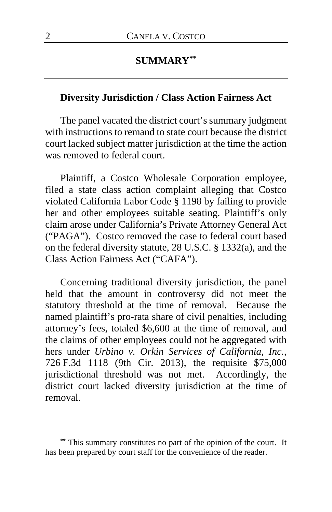# **SUMMARY[\\*\\*](#page-1-0)**

# **Diversity Jurisdiction / Class Action Fairness Act**

The panel vacated the district court's summary judgment with instructions to remand to state court because the district court lacked subject matter jurisdiction at the time the action was removed to federal court.

Plaintiff, a Costco Wholesale Corporation employee, filed a state class action complaint alleging that Costco violated California Labor Code § 1198 by failing to provide her and other employees suitable seating. Plaintiff's only claim arose under California's Private Attorney General Act ("PAGA"). Costco removed the case to federal court based on the federal diversity statute, 28 U.S.C. § 1332(a), and the Class Action Fairness Act ("CAFA").

Concerning traditional diversity jurisdiction, the panel held that the amount in controversy did not meet the statutory threshold at the time of removal. Because the named plaintiff's pro-rata share of civil penalties, including attorney's fees, totaled \$6,600 at the time of removal, and the claims of other employees could not be aggregated with hers under *Urbino v. Orkin Services of California, Inc.*, 726 F.3d 1118 (9th Cir. 2013), the requisite \$75,000 jurisdictional threshold was not met. Accordingly, the district court lacked diversity jurisdiction at the time of removal.

<span id="page-1-0"></span>**<sup>\*\*</sup>** This summary constitutes no part of the opinion of the court. It has been prepared by court staff for the convenience of the reader.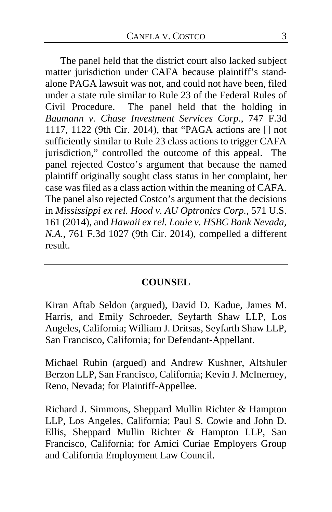The panel held that the district court also lacked subject matter jurisdiction under CAFA because plaintiff's standalone PAGA lawsuit was not, and could not have been, filed under a state rule similar to Rule 23 of the Federal Rules of Civil Procedure. The panel held that the holding in *Baumann v. Chase Investment Services Corp*., 747 F.3d 1117, 1122 (9th Cir. 2014), that "PAGA actions are [] not sufficiently similar to Rule 23 class actions to trigger CAFA jurisdiction," controlled the outcome of this appeal. The panel rejected Costco's argument that because the named plaintiff originally sought class status in her complaint, her case was filed as a class action within the meaning of CAFA. The panel also rejected Costco's argument that the decisions in *Mississippi ex rel. Hood v. AU Optronics Corp.*, 571 U.S. 161 (2014), and *Hawaii ex rel. Louie v. HSBC Bank Nevada, N.A.*, 761 F.3d 1027 (9th Cir. 2014), compelled a different result.

# **COUNSEL**

Kiran Aftab Seldon (argued), David D. Kadue, James M. Harris, and Emily Schroeder, Seyfarth Shaw LLP, Los Angeles, California; William J. Dritsas, Seyfarth Shaw LLP, San Francisco, California; for Defendant-Appellant.

Michael Rubin (argued) and Andrew Kushner, Altshuler Berzon LLP, San Francisco, California; Kevin J. McInerney, Reno, Nevada; for Plaintiff-Appellee.

Richard J. Simmons, Sheppard Mullin Richter & Hampton LLP, Los Angeles, California; Paul S. Cowie and John D. Ellis, Sheppard Mullin Richter & Hampton LLP, San Francisco, California; for Amici Curiae Employers Group and California Employment Law Council.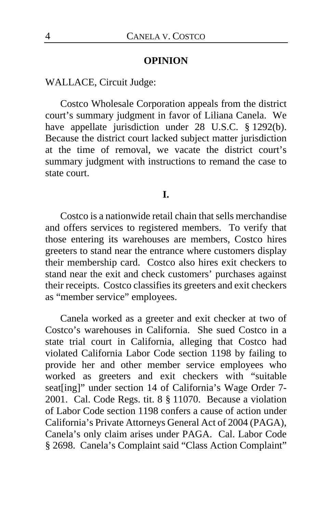#### **OPINION**

## WALLACE, Circuit Judge:

Costco Wholesale Corporation appeals from the district court's summary judgment in favor of Liliana Canela. We have appellate jurisdiction under 28 U.S.C. § 1292(b). Because the district court lacked subject matter jurisdiction at the time of removal, we vacate the district court's summary judgment with instructions to remand the case to state court.

#### **I.**

Costco is a nationwide retail chain that sells merchandise and offers services to registered members. To verify that those entering its warehouses are members, Costco hires greeters to stand near the entrance where customers display their membership card. Costco also hires exit checkers to stand near the exit and check customers' purchases against their receipts. Costco classifies its greeters and exit checkers as "member service" employees.

Canela worked as a greeter and exit checker at two of Costco's warehouses in California. She sued Costco in a state trial court in California, alleging that Costco had violated California Labor Code section 1198 by failing to provide her and other member service employees who worked as greeters and exit checkers with "suitable seat[ing]" under section 14 of California's Wage Order 7-2001. Cal. Code Regs. tit. 8 § 11070. Because a violation of Labor Code section 1198 confers a cause of action under California's Private Attorneys General Act of 2004 (PAGA), Canela's only claim arises under PAGA. Cal. Labor Code § 2698. Canela's Complaint said "Class Action Complaint"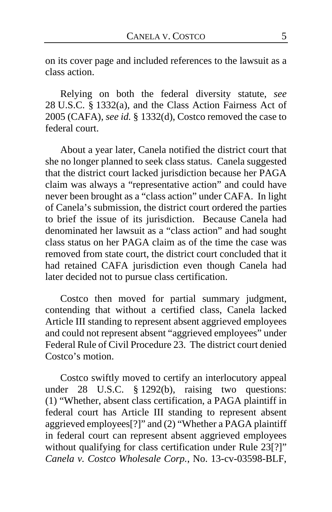on its cover page and included references to the lawsuit as a class action.

Relying on both the federal diversity statute, *see*  28 U.S.C. § 1332(a), and the Class Action Fairness Act of 2005 (CAFA), *see id.* § 1332(d), Costco removed the case to federal court.

About a year later, Canela notified the district court that she no longer planned to seek class status. Canela suggested that the district court lacked jurisdiction because her PAGA claim was always a "representative action" and could have never been brought as a "class action" under CAFA. In light of Canela's submission, the district court ordered the parties to brief the issue of its jurisdiction. Because Canela had denominated her lawsuit as a "class action" and had sought class status on her PAGA claim as of the time the case was removed from state court, the district court concluded that it had retained CAFA jurisdiction even though Canela had later decided not to pursue class certification.

Costco then moved for partial summary judgment, contending that without a certified class, Canela lacked Article III standing to represent absent aggrieved employees and could not represent absent "aggrieved employees" under Federal Rule of Civil Procedure 23. The district court denied Costco's motion.

Costco swiftly moved to certify an interlocutory appeal under 28 U.S.C. § 1292(b), raising two questions: (1) "Whether, absent class certification, a PAGA plaintiff in federal court has Article III standing to represent absent aggrieved employees[?]" and (2) "Whether a PAGA plaintiff in federal court can represent absent aggrieved employees without qualifying for class certification under Rule 23[?]" *Canela v. Costco Wholesale Corp.*, No. 13-cv-03598-BLF,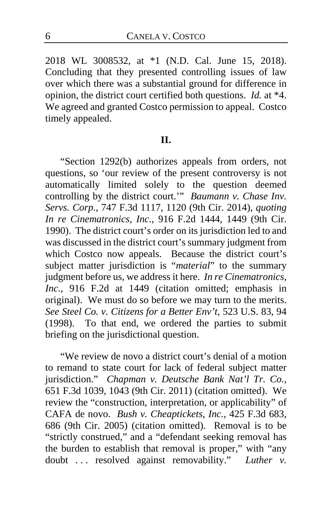2018 WL 3008532, at \*1 (N.D. Cal. June 15, 2018). Concluding that they presented controlling issues of law over which there was a substantial ground for difference in opinion, the district court certified both questions. *Id.* at \*4. We agreed and granted Costco permission to appeal. Costco timely appealed.

#### **II.**

"Section 1292(b) authorizes appeals from orders, not questions, so 'our review of the present controversy is not automatically limited solely to the question deemed controlling by the district court.'" *Baumann v. Chase Inv. Servs. Corp.*, 747 F.3d 1117, 1120 (9th Cir. 2014), *quoting In re Cinematronics, Inc.*, 916 F.2d 1444, 1449 (9th Cir. 1990). The district court's order on its jurisdiction led to and was discussed in the district court's summary judgment from which Costco now appeals. Because the district court's subject matter jurisdiction is "*material*" to the summary judgment before us, we address it here. *In re Cinematronics, Inc.*, 916 F.2d at 1449 (citation omitted; emphasis in original). We must do so before we may turn to the merits. *See Steel Co. v. Citizens for a Better Env't*, 523 U.S. 83, 94 (1998). To that end, we ordered the parties to submit briefing on the jurisdictional question.

"We review de novo a district court's denial of a motion to remand to state court for lack of federal subject matter jurisdiction." *Chapman v. Deutsche Bank Nat'l Tr. Co.*, 651 F.3d 1039, 1043 (9th Cir. 2011) (citation omitted). We review the "construction, interpretation, or applicability" of CAFA de novo. *Bush v. Cheaptickets, Inc.*, 425 F.3d 683, 686 (9th Cir. 2005) (citation omitted). Removal is to be "strictly construed," and a "defendant seeking removal has the burden to establish that removal is proper," with "any doubt . . . resolved against removability." *Luther v.*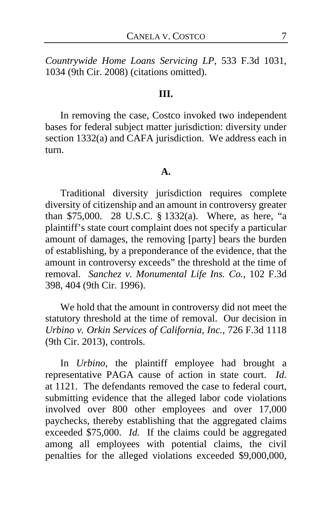*Countrywide Home Loans Servicing LP*, 533 F.3d 1031, 1034 (9th Cir. 2008) (citations omitted).

## **III.**

In removing the case, Costco invoked two independent bases for federal subject matter jurisdiction: diversity under section 1332(a) and CAFA jurisdiction. We address each in turn.

#### **A.**

Traditional diversity jurisdiction requires complete diversity of citizenship and an amount in controversy greater than \$75,000. 28 U.S.C. § 1332(a). Where, as here, "a plaintiff's state court complaint does not specify a particular amount of damages, the removing [party] bears the burden of establishing, by a preponderance of the evidence, that the amount in controversy exceeds" the threshold at the time of removal. *Sanchez v. Monumental Life Ins. Co.*, 102 F.3d 398, 404 (9th Cir. 1996).

We hold that the amount in controversy did not meet the statutory threshold at the time of removal. Our decision in *Urbino v. Orkin Services of California, Inc.*, 726 F.3d 1118 (9th Cir. 2013), controls.

In *Urbino*, the plaintiff employee had brought a representative PAGA cause of action in state court. *Id.* at 1121. The defendants removed the case to federal court, submitting evidence that the alleged labor code violations involved over 800 other employees and over 17,000 paychecks, thereby establishing that the aggregated claims exceeded \$75,000. *Id.* If the claims could be aggregated among all employees with potential claims, the civil penalties for the alleged violations exceeded \$9,000,000,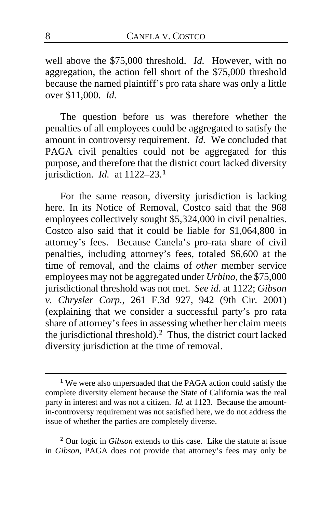well above the \$75,000 threshold. *Id.* However, with no aggregation, the action fell short of the \$75,000 threshold because the named plaintiff's pro rata share was only a little over \$11,000. *Id.*

The question before us was therefore whether the penalties of all employees could be aggregated to satisfy the amount in controversy requirement. *Id.* We concluded that PAGA civil penalties could not be aggregated for this purpose, and therefore that the district court lacked diversity jurisdiction. *Id.* at 1122–23.**[1](#page-7-0)**

For the same reason, diversity jurisdiction is lacking here. In its Notice of Removal, Costco said that the 968 employees collectively sought \$5,324,000 in civil penalties. Costco also said that it could be liable for \$1,064,800 in attorney's fees. Because Canela's pro-rata share of civil penalties, including attorney's fees, totaled \$6,600 at the time of removal, and the claims of *other* member service employees may not be aggregated under *Urbino*, the \$75,000 jurisdictional threshold was not met. *See id.* at 1122; *Gibson v. Chrysler Corp.*, 261 F.3d 927, 942 (9th Cir. 2001) (explaining that we consider a successful party's pro rata share of attorney's fees in assessing whether her claim meets the jurisdictional threshold).**[2](#page-7-1)** Thus, the district court lacked diversity jurisdiction at the time of removal.

<span id="page-7-1"></span>**<sup>2</sup>** Our logic in *Gibson* extends to this case. Like the statute at issue in *Gibson*, PAGA does not provide that attorney's fees may only be

<span id="page-7-0"></span>**<sup>1</sup>** We were also unpersuaded that the PAGA action could satisfy the complete diversity element because the State of California was the real party in interest and was not a citizen. *Id.* at 1123. Because the amountin-controversy requirement was not satisfied here, we do not address the issue of whether the parties are completely diverse.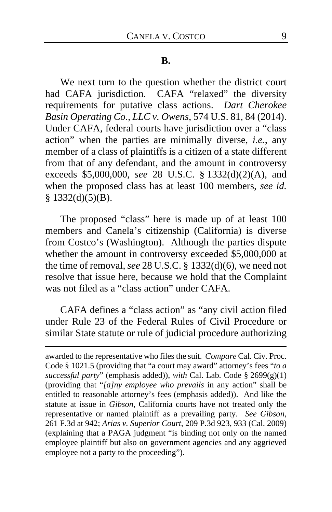#### **B.**

We next turn to the question whether the district court had CAFA jurisdiction. CAFA "relaxed" the diversity requirements for putative class actions. *Dart Cherokee Basin Operating Co., LLC v. Owens*, 574 U.S. 81, 84 (2014). Under CAFA, federal courts have jurisdiction over a "class action" when the parties are minimally diverse, *i.e.*, any member of a class of plaintiffs is a citizen of a state different from that of any defendant, and the amount in controversy exceeds \$5,000,000, *see* 28 U.S.C. § 1332(d)(2)(A), and when the proposed class has at least 100 members, *see id.*  $§$  1332(d)(5)(B).

The proposed "class" here is made up of at least 100 members and Canela's citizenship (California) is diverse from Costco's (Washington). Although the parties dispute whether the amount in controversy exceeded \$5,000,000 at the time of removal, *see* 28 U.S.C. § 1332(d)(6), we need not resolve that issue here, because we hold that the Complaint was not filed as a "class action" under CAFA.

CAFA defines a "class action" as "any civil action filed under Rule 23 of the Federal Rules of Civil Procedure or similar State statute or rule of judicial procedure authorizing

awarded to the representative who files the suit. *Compare* Cal. Civ. Proc. Code § 1021.5 (providing that "a court may award" attorney's fees "*to a successful party*" (emphasis added)), *with* Cal. Lab. Code § 2699(g)(1) (providing that "*[a]ny employee who prevails* in any action" shall be entitled to reasonable attorney's fees (emphasis added)). And like the statute at issue in *Gibson*, California courts have not treated only the representative or named plaintiff as a prevailing party. *See Gibson*, 261 F.3d at 942; *Arias v. Superior Court*, 209 P.3d 923, 933 (Cal. 2009) (explaining that a PAGA judgment "is binding not only on the named employee plaintiff but also on government agencies and any aggrieved employee not a party to the proceeding").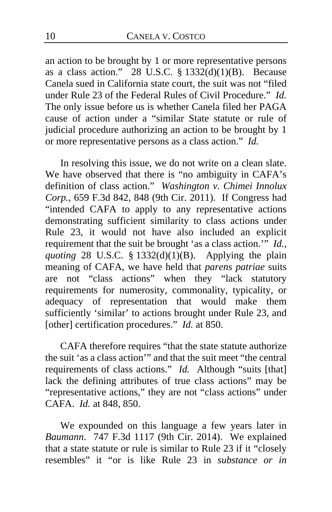an action to be brought by 1 or more representative persons as a class action." 28 U.S.C.  $\S$  1332(d)(1)(B). Because Canela sued in California state court, the suit was not "filed under Rule 23 of the Federal Rules of Civil Procedure." *Id.*  The only issue before us is whether Canela filed her PAGA cause of action under a "similar State statute or rule of judicial procedure authorizing an action to be brought by 1 or more representative persons as a class action." *Id.*

In resolving this issue, we do not write on a clean slate. We have observed that there is "no ambiguity in CAFA's definition of class action." *Washington v. Chimei Innolux Corp.*, 659 F.3d 842, 848 (9th Cir. 2011). If Congress had "intended CAFA to apply to any representative actions demonstrating sufficient similarity to class actions under Rule 23, it would not have also included an explicit requirement that the suit be brought 'as a class action.'" *Id.*, *quoting* 28 U.S.C. § 1332(d)(1)(B).Applying the plain meaning of CAFA, we have held that *parens patriae* suits are not "class actions" when they "lack statutory requirements for numerosity, commonality, typicality, or adequacy of representation that would make them sufficiently 'similar' to actions brought under Rule 23, and [other] certification procedures." *Id.* at 850.

CAFA therefore requires "that the state statute authorize the suit 'as a class action'" and that the suit meet "the central requirements of class actions." *Id.* Although "suits [that] lack the defining attributes of true class actions" may be "representative actions," they are not "class actions" under CAFA. *Id.* at 848, 850.

We expounded on this language a few years later in *Baumann*. 747 F.3d 1117 (9th Cir. 2014). We explained that a state statute or rule is similar to Rule 23 if it "closely resembles" it "or is like Rule 23 in *substance or in*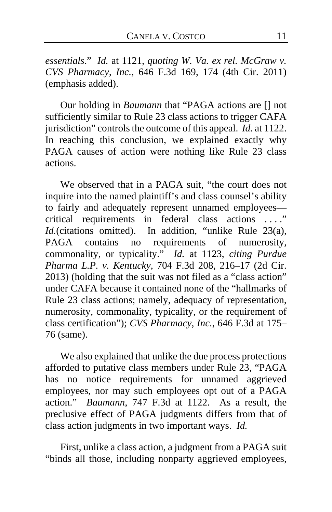*essentials*." *Id.* at 1121, *quoting W. Va. ex rel. McGraw v. CVS Pharmacy, Inc.*, 646 F.3d 169, 174 (4th Cir. 2011) (emphasis added).

Our holding in *Baumann* that "PAGA actions are [] not sufficiently similar to Rule 23 class actions to trigger CAFA jurisdiction" controls the outcome of this appeal. *Id.* at 1122. In reaching this conclusion, we explained exactly why PAGA causes of action were nothing like Rule 23 class actions.

We observed that in a PAGA suit, "the court does not inquire into the named plaintiff's and class counsel's ability to fairly and adequately represent unnamed employees critical requirements in federal class actions . . . ." *Id.*(citations omitted). In addition, "unlike Rule 23(a), PAGA contains no requirements of numerosity, requirements of numerosity, commonality, or typicality." *Id.* at 1123, *citing Purdue Pharma L.P. v. Kentucky*, 704 F.3d 208, 216–17 (2d Cir. 2013) (holding that the suit was not filed as a "class action" under CAFA because it contained none of the "hallmarks of Rule 23 class actions; namely, adequacy of representation, numerosity, commonality, typicality, or the requirement of class certification"); *CVS Pharmacy, Inc.*, 646 F.3d at 175– 76 (same).

We also explained that unlike the due process protections afforded to putative class members under Rule 23, "PAGA has no notice requirements for unnamed aggrieved employees, nor may such employees opt out of a PAGA action." *Baumann*, 747 F.3d at 1122.As a result, the preclusive effect of PAGA judgments differs from that of class action judgments in two important ways. *Id.*

First, unlike a class action, a judgment from a PAGA suit "binds all those, including nonparty aggrieved employees,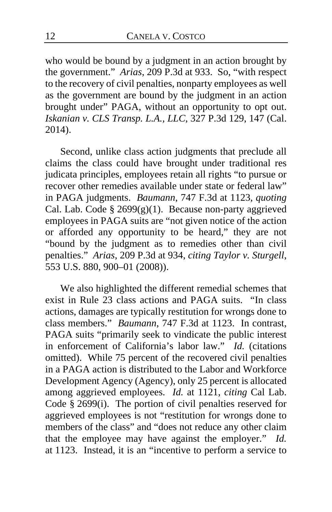who would be bound by a judgment in an action brought by the government." *Arias*, 209 P.3d at 933. So, "with respect to the recovery of civil penalties, nonparty employees as well as the government are bound by the judgment in an action brought under" PAGA, without an opportunity to opt out. *Iskanian v. CLS Transp. L.A., LLC*, 327 P.3d 129, 147 (Cal. 2014).

Second, unlike class action judgments that preclude all claims the class could have brought under traditional res judicata principles, employees retain all rights "to pursue or recover other remedies available under state or federal law" in PAGA judgments. *Baumann*, 747 F.3d at 1123, *quoting* Cal. Lab. Code  $\S 2699(g)(1)$ . Because non-party aggrieved employees in PAGA suits are "not given notice of the action or afforded any opportunity to be heard," they are not "bound by the judgment as to remedies other than civil penalties." *Arias*, 209 P.3d at 934, *citing Taylor v. Sturgell*, 553 U.S. 880, 900–01 (2008)).

We also highlighted the different remedial schemes that exist in Rule 23 class actions and PAGA suits. "In class actions, damages are typically restitution for wrongs done to class members." *Baumann*, 747 F.3d at 1123.In contrast, PAGA suits "primarily seek to vindicate the public interest in enforcement of California's labor law." *Id.* (citations omitted). While 75 percent of the recovered civil penalties in a PAGA action is distributed to the Labor and Workforce Development Agency (Agency), only 25 percent is allocated among aggrieved employees. *Id.* at 1121, *citing* Cal Lab. Code § 2699(i). The portion of civil penalties reserved for aggrieved employees is not "restitution for wrongs done to members of the class" and "does not reduce any other claim that the employee may have against the employer." *Id.* at 1123. Instead, it is an "incentive to perform a service to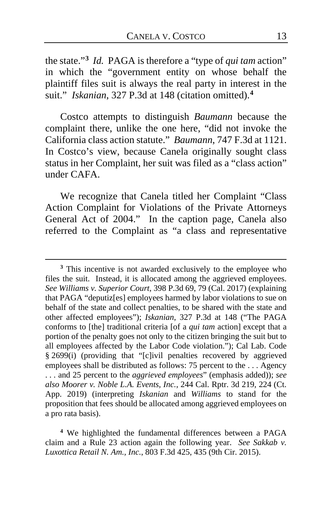the state."**[3](#page-12-0)** *Id.* PAGA is therefore a "type of *qui tam* action" in which the "government entity on whose behalf the plaintiff files suit is always the real party in interest in the suit." *Iskanian*, 327 P.3d at 148 (citation omitted).**[4](#page-12-1)**

Costco attempts to distinguish *Baumann* because the complaint there, unlike the one here, "did not invoke the California class action statute." *Baumann*, 747 F.3d at 1121. In Costco's view, because Canela originally sought class status in her Complaint, her suit was filed as a "class action" under CAFA.

We recognize that Canela titled her Complaint "Class Action Complaint for Violations of the Private Attorneys General Act of 2004." In the caption page, Canela also referred to the Complaint as "a class and representative

<span id="page-12-0"></span>**<sup>3</sup>** This incentive is not awarded exclusively to the employee who files the suit. Instead, it is allocated among the aggrieved employees. *See Williams v. Superior Court*, 398 P.3d 69, 79 (Cal. 2017) (explaining that PAGA "deputiz[es] employees harmed by labor violations to sue on behalf of the state and collect penalties, to be shared with the state and other affected employees"); *Iskanian*, 327 P.3d at 148 ("The PAGA conforms to [the] traditional criteria [of a *qui tam* action] except that a portion of the penalty goes not only to the citizen bringing the suit but to all employees affected by the Labor Code violation."); Cal Lab. Code § 2699(i) (providing that "[c]ivil penalties recovered by aggrieved employees shall be distributed as follows: 75 percent to the . . . Agency . . . and 25 percent to the *aggrieved employees*" (emphasis added)); *see also Moorer v. Noble L.A. Events, Inc.*, 244 Cal. Rptr. 3d 219, 224 (Ct. App. 2019) (interpreting *Iskanian* and *Williams* to stand for the proposition that fees should be allocated among aggrieved employees on a pro rata basis).

<span id="page-12-1"></span>**<sup>4</sup>** We highlighted the fundamental differences between a PAGA claim and a Rule 23 action again the following year. *See Sakkab v. Luxottica Retail N. Am., Inc.*, 803 F.3d 425, 435 (9th Cir. 2015).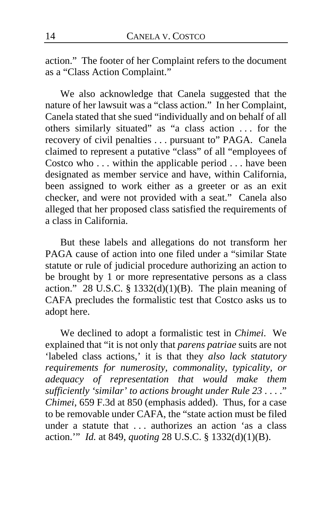action." The footer of her Complaint refers to the document as a "Class Action Complaint."

We also acknowledge that Canela suggested that the nature of her lawsuit was a "class action." In her Complaint, Canela stated that she sued "individually and on behalf of all others similarly situated" as "a class action . . . for the recovery of civil penalties . . . pursuant to" PAGA. Canela claimed to represent a putative "class" of all "employees of Costco who ... within the applicable period ... have been designated as member service and have, within California, been assigned to work either as a greeter or as an exit checker, and were not provided with a seat." Canela also alleged that her proposed class satisfied the requirements of a class in California.

But these labels and allegations do not transform her PAGA cause of action into one filed under a "similar State statute or rule of judicial procedure authorizing an action to be brought by 1 or more representative persons as a class action." 28 U.S.C. § 1332(d)(1)(B). The plain meaning of CAFA precludes the formalistic test that Costco asks us to adopt here.

We declined to adopt a formalistic test in *Chimei*. We explained that "it is not only that *parens patriae* suits are not 'labeled class actions,' it is that they *also lack statutory requirements for numerosity, commonality, typicality, or adequacy of representation that would make them sufficiently 'similar' to actions brought under Rule 23* . . . ." *Chimei*, 659 F.3d at 850 (emphasis added). Thus, for a case to be removable under CAFA, the "state action must be filed under a statute that . . . authorizes an action 'as a class action.'" *Id.* at 849, *quoting* 28 U.S.C. § 1332(d)(1)(B).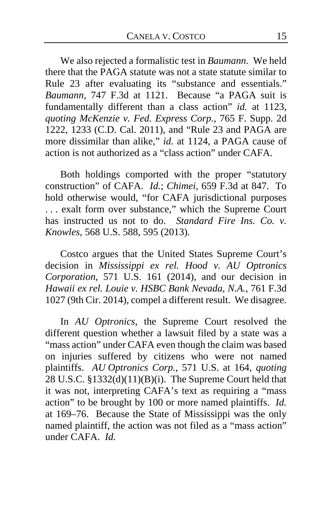We also rejected a formalistic test in *Baumann*. We held there that the PAGA statute was not a state statute similar to Rule 23 after evaluating its "substance and essentials." *Baumann*, 747 F.3d at 1121. Because "a PAGA suit is fundamentally different than a class action" *id.* at 1123, *quoting McKenzie v. Fed. Express Corp.*, 765 F. Supp. 2d 1222, 1233 (C.D. Cal. 2011), and "Rule 23 and PAGA are more dissimilar than alike," *id.* at 1124, a PAGA cause of action is not authorized as a "class action" under CAFA.

Both holdings comported with the proper "statutory construction" of CAFA. *Id.*; *Chimei*, 659 F.3d at 847. To hold otherwise would, "for CAFA jurisdictional purposes . . . exalt form over substance," which the Supreme Court has instructed us not to do. *Standard Fire Ins. Co. v. Knowles*, 568 U.S. 588, 595 (2013).

Costco argues that the United States Supreme Court's decision in *Mississippi ex rel. Hood v. AU Optronics Corporation*, 571 U.S. 161 (2014), and our decision in *Hawaii ex rel. Louie v. HSBC Bank Nevada, N.A.*, 761 F.3d 1027 (9th Cir. 2014), compel a different result. We disagree.

In *AU Optronics*, the Supreme Court resolved the different question whether a lawsuit filed by a state was a "mass action" under CAFA even though the claim was based on injuries suffered by citizens who were not named plaintiffs. *AU Optronics Corp.*, 571 U.S. at 164, *quoting* 28 U.S.C. §1332(d)(11)(B)(i). The Supreme Court held that it was not, interpreting CAFA's text as requiring a "mass action" to be brought by 100 or more named plaintiffs. *Id.* at 169–76. Because the State of Mississippi was the only named plaintiff, the action was not filed as a "mass action" under CAFA. *Id.*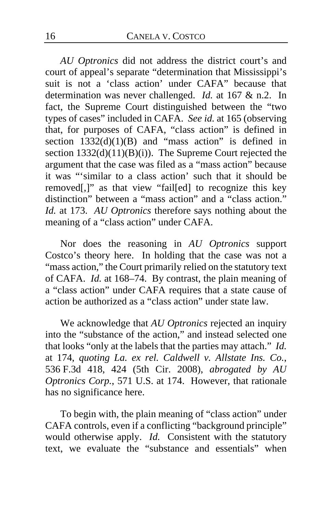*AU Optronics* did not address the district court's and court of appeal's separate "determination that Mississippi's suit is not a 'class action' under CAFA" because that determination was never challenged. *Id.* at 167 & n.2. In fact, the Supreme Court distinguished between the "two types of cases" included in CAFA. *See id.* at 165 (observing that, for purposes of CAFA, "class action" is defined in section  $1332(d)(1)(B)$  and "mass action" is defined in section 1332(d)(11)(B)(i)). The Supreme Court rejected the argument that the case was filed as a "mass action" because it was "'similar to a class action' such that it should be removed[,]" as that view "fail[ed] to recognize this key distinction" between a "mass action" and a "class action." *Id.* at 173. *AU Optronics* therefore says nothing about the meaning of a "class action" under CAFA.

Nor does the reasoning in *AU Optronics* support Costco's theory here. In holding that the case was not a "mass action," the Court primarily relied on the statutory text of CAFA. *Id.* at 168–74. By contrast, the plain meaning of a "class action" under CAFA requires that a state cause of action be authorized as a "class action" under state law.

We acknowledge that *AU Optronics* rejected an inquiry into the "substance of the action," and instead selected one that looks "only at the labels that the parties may attach." *Id.* at 174, *quoting La. ex rel. Caldwell v. Allstate Ins. Co.*, 536 F.3d 418, 424 (5th Cir. 2008), *abrogated by AU Optronics Corp.*, 571 U.S. at 174. However, that rationale has no significance here.

To begin with, the plain meaning of "class action" under CAFA controls, even if a conflicting "background principle" would otherwise apply. *Id.* Consistent with the statutory text, we evaluate the "substance and essentials" when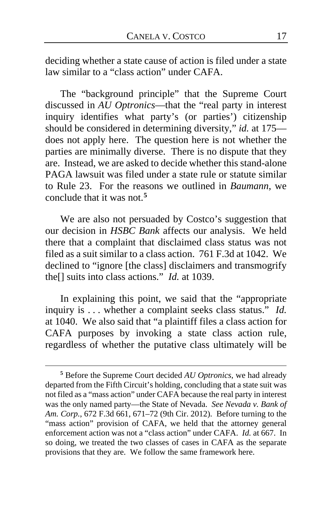deciding whether a state cause of action is filed under a state law similar to a "class action" under CAFA.

The "background principle" that the Supreme Court discussed in *AU Optronics*—that the "real party in interest inquiry identifies what party's (or parties') citizenship should be considered in determining diversity," *id.* at 175 does not apply here. The question here is not whether the parties are minimally diverse. There is no dispute that they are. Instead, we are asked to decide whether this stand-alone PAGA lawsuit was filed under a state rule or statute similar to Rule 23. For the reasons we outlined in *Baumann*, we conclude that it was not.**[5](#page-16-0)**

We are also not persuaded by Costco's suggestion that our decision in *HSBC Bank* affects our analysis. We held there that a complaint that disclaimed class status was not filed as a suit similar to a class action. 761 F.3d at 1042. We declined to "ignore [the class] disclaimers and transmogrify the[] suits into class actions." *Id.* at 1039.

In explaining this point, we said that the "appropriate inquiry is . . . whether a complaint seeks class status." *Id.*  at 1040. We also said that "a plaintiff files a class action for CAFA purposes by invoking a state class action rule, regardless of whether the putative class ultimately will be

<span id="page-16-0"></span>**<sup>5</sup>** Before the Supreme Court decided *AU Optronics*, we had already departed from the Fifth Circuit's holding, concluding that a state suit was not filed as a "mass action" under CAFA because the real party in interest was the only named party—the State of Nevada. *See Nevada v. Bank of Am. Corp.*, 672 F.3d 661, 671–72 (9th Cir. 2012). Before turning to the "mass action" provision of CAFA, we held that the attorney general enforcement action was not a "class action" under CAFA. *Id.* at 667. In so doing, we treated the two classes of cases in CAFA as the separate provisions that they are. We follow the same framework here.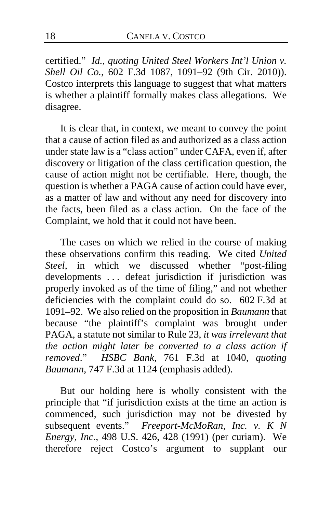certified." *Id.*, *quoting United Steel Workers Int'l Union v. Shell Oil Co.*, 602 F.3d 1087, 1091–92 (9th Cir. 2010)). Costco interprets this language to suggest that what matters is whether a plaintiff formally makes class allegations. We disagree.

It is clear that, in context, we meant to convey the point that a cause of action filed as and authorized as a class action under state law is a "class action" under CAFA, even if, after discovery or litigation of the class certification question, the cause of action might not be certifiable. Here, though, the question is whether a PAGA cause of action could have ever, as a matter of law and without any need for discovery into the facts, been filed as a class action. On the face of the Complaint, we hold that it could not have been.

The cases on which we relied in the course of making these observations confirm this reading. We cited *United Steel*, in which we discussed whether "post-filing developments . . . defeat jurisdiction if jurisdiction was properly invoked as of the time of filing," and not whether deficiencies with the complaint could do so. 602 F.3d at 1091–92. We also relied on the proposition in *Baumann* that because "the plaintiff's complaint was brought under PAGA, a statute not similar to Rule 23, *it was irrelevant that the action might later be converted to a class action if removed*." *HSBC Bank*, 761 F.3d at 1040, *quoting Baumann*, 747 F.3d at 1124 (emphasis added).

But our holding here is wholly consistent with the principle that "if jurisdiction exists at the time an action is commenced, such jurisdiction may not be divested by subsequent events." *Freeport-McMoRan, Inc. v. K N Energy, Inc.*, 498 U.S. 426, 428 (1991) (per curiam). We therefore reject Costco's argument to supplant our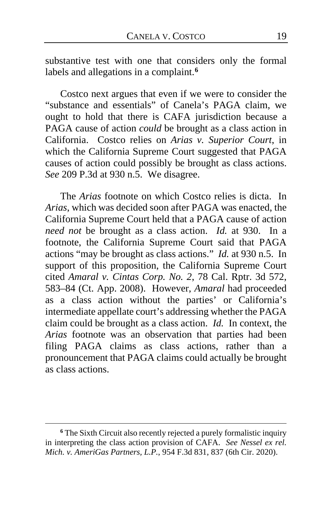substantive test with one that considers only the formal labels and allegations in a complaint.**[6](#page-18-0)**

Costco next argues that even if we were to consider the "substance and essentials" of Canela's PAGA claim, we ought to hold that there is CAFA jurisdiction because a PAGA cause of action *could* be brought as a class action in California. Costco relies on *Arias v. Superior Court*, in which the California Supreme Court suggested that PAGA causes of action could possibly be brought as class actions. *See* 209 P.3d at 930 n.5. We disagree.

The *Arias* footnote on which Costco relies is dicta. In *Arias*, which was decided soon after PAGA was enacted, the California Supreme Court held that a PAGA cause of action *need not* be brought as a class action. *Id.* at 930. In a footnote, the California Supreme Court said that PAGA actions "may be brought as class actions." *Id.* at 930 n.5.In support of this proposition, the California Supreme Court cited *Amaral v. Cintas Corp. No. 2*, 78 Cal. Rptr. 3d 572, 583–84 (Ct. App. 2008).However, *Amaral* had proceeded as a class action without the parties' or California's intermediate appellate court's addressing whether the PAGA claim could be brought as a class action. *Id.* In context, the *Arias* footnote was an observation that parties had been filing PAGA claims as class actions, rather than a pronouncement that PAGA claims could actually be brought as class actions.

<span id="page-18-0"></span>**<sup>6</sup>** The Sixth Circuit also recently rejected a purely formalistic inquiry in interpreting the class action provision of CAFA. *See Nessel ex rel. Mich. v. AmeriGas Partners, L.P.*, 954 F.3d 831, 837 (6th Cir. 2020).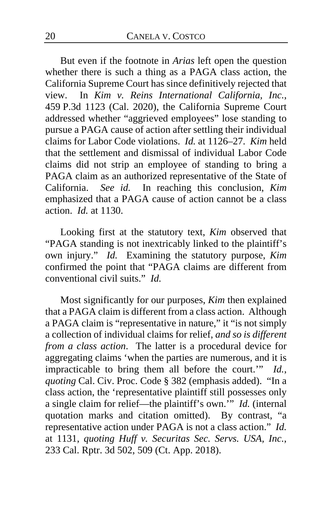But even if the footnote in *Arias* left open the question whether there is such a thing as a PAGA class action, the California Supreme Court has since definitively rejected that view. In *Kim v. Reins International California, Inc.*, 459 P.3d 1123 (Cal. 2020), the California Supreme Court addressed whether "aggrieved employees" lose standing to pursue a PAGA cause of action after settling their individual claims for Labor Code violations. *Id.* at 1126–27. *Kim* held that the settlement and dismissal of individual Labor Code claims did not strip an employee of standing to bring a PAGA claim as an authorized representative of the State of California. *See id.* In reaching this conclusion, *Kim* emphasized that a PAGA cause of action cannot be a class action. *Id.* at 1130.

Looking first at the statutory text, *Kim* observed that "PAGA standing is not inextricably linked to the plaintiff's own injury." *Id.* Examining the statutory purpose, *Kim* confirmed the point that "PAGA claims are different from conventional civil suits." *Id.*

Most significantly for our purposes, *Kim* then explained that a PAGA claim is different from a class action. Although a PAGA claim is "representative in nature," it "is not simply a collection of individual claims for relief, *and so is different from a class action*. The latter is a procedural device for aggregating claims 'when the parties are numerous, and it is impracticable to bring them all before the court.'" *Id.*, *quoting* Cal. Civ. Proc. Code § 382 (emphasis added). "In a class action, the 'representative plaintiff still possesses only a single claim for relief—the plaintiff's own.'" *Id.* (internal quotation marks and citation omitted). By contrast, "a representative action under PAGA is not a class action." *Id.* at 1131, *quoting Huff v. Securitas Sec. Servs. USA, Inc.*, 233 Cal. Rptr. 3d 502, 509 (Ct. App. 2018).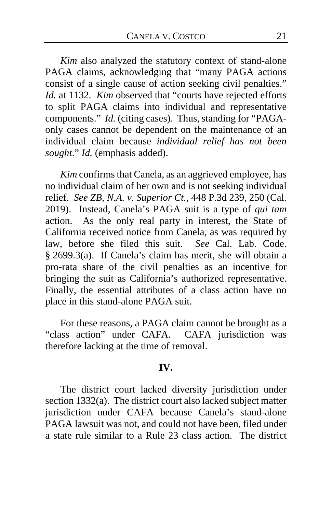*Kim* also analyzed the statutory context of stand-alone PAGA claims, acknowledging that "many PAGA actions consist of a single cause of action seeking civil penalties." *Id.* at 1132. *Kim* observed that "courts have rejected efforts to split PAGA claims into individual and representative components." *Id.* (citing cases). Thus, standing for "PAGAonly cases cannot be dependent on the maintenance of an individual claim because *individual relief has not been sought*." *Id.* (emphasis added).

*Kim* confirms that Canela, as an aggrieved employee, has no individual claim of her own and is not seeking individual relief. *See ZB, N.A. v. Superior Ct.*, 448 P.3d 239, 250 (Cal. 2019). Instead, Canela's PAGA suit is a type of *qui tam* action. As the only real party in interest, the State of California received notice from Canela, as was required by law, before she filed this suit. *See* Cal. Lab. Code. § 2699.3(a). If Canela's claim has merit, she will obtain a pro-rata share of the civil penalties as an incentive for bringing the suit as California's authorized representative. Finally, the essential attributes of a class action have no place in this stand-alone PAGA suit.

For these reasons, a PAGA claim cannot be brought as a "class action" under CAFA. CAFA jurisdiction was therefore lacking at the time of removal.

#### **IV.**

The district court lacked diversity jurisdiction under section 1332(a). The district court also lacked subject matter jurisdiction under CAFA because Canela's stand-alone PAGA lawsuit was not, and could not have been, filed under a state rule similar to a Rule 23 class action. The district